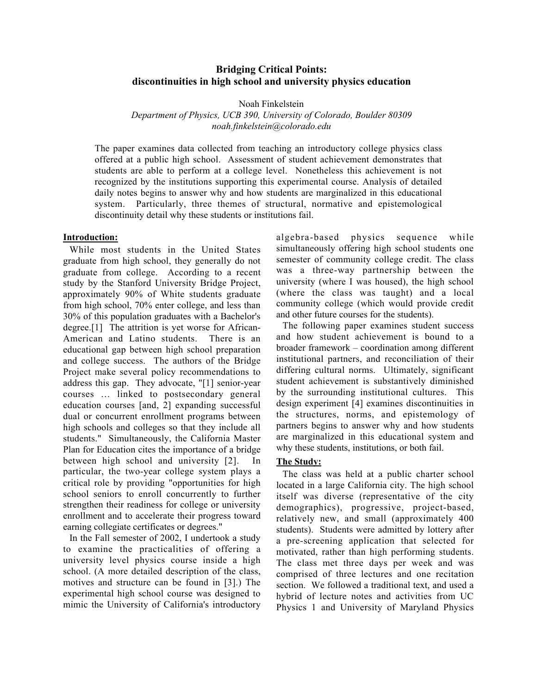# **Bridging Critical Points: discontinuities in high school and university physics education**

Noah Finkelstein

*Department of Physics, UCB 390, University of Colorado, Boulder 80309 noah.finkelstein@colorado.edu*

The paper examines data collected from teaching an introductory college physics class offered at a public high school. Assessment of student achievement demonstrates that students are able to perform at a college level. Nonetheless this achievement is not recognized by the institutions supporting this experimental course. Analysis of detailed daily notes begins to answer why and how students are marginalized in this educational system. Particularly, three themes of structural, normative and epistemological discontinuity detail why these students or institutions fail.

#### **Introduction:**

While most students in the United States graduate from high school, they generally do not graduate from college. According to a recent study by the Stanford University Bridge Project, approximately 90% of White students graduate from high school, 70% enter college, and less than 30% of this population graduates with a Bachelor's degree.[1] The attrition is yet worse for African-American and Latino students. There is an educational gap between high school preparation and college success. The authors of the Bridge Project make several policy recommendations to address this gap. They advocate, "[1] senior-year courses … linked to postsecondary general education courses [and, 2] expanding successful dual or concurrent enrollment programs between high schools and colleges so that they include all students." Simultaneously, the California Master Plan for Education cites the importance of a bridge between high school and university [2]. In particular, the two-year college system plays a critical role by providing "opportunities for high school seniors to enroll concurrently to further strengthen their readiness for college or university enrollment and to accelerate their progress toward earning collegiate certificates or degrees."

In the Fall semester of 2002, I undertook a study to examine the practicalities of offering a university level physics course inside a high school. (A more detailed description of the class, motives and structure can be found in [3].) The experimental high school course was designed to mimic the University of California's introductory algebra-based physics sequence while simultaneously offering high school students one semester of community college credit. The class was a three-way partnership between the university (where I was housed), the high school (where the class was taught) and a local community college (which would provide credit and other future courses for the students).

The following paper examines student success and how student achievement is bound to a broader framework – coordination among different institutional partners, and reconciliation of their differing cultural norms. Ultimately, significant student achievement is substantively diminished by the surrounding institutional cultures. This design experiment [4] examines discontinuities in the structures, norms, and epistemology of partners begins to answer why and how students are marginalized in this educational system and why these students, institutions, or both fail.

# **The Study:**

The class was held at a public charter school located in a large California city. The high school itself was diverse (representative of the city demographics), progressive, project-based, relatively new, and small (approximately 400 students). Students were admitted by lottery after a pre-screening application that selected for motivated, rather than high performing students. The class met three days per week and was comprised of three lectures and one recitation section. We followed a traditional text, and used a hybrid of lecture notes and activities from UC Physics 1 and University of Maryland Physics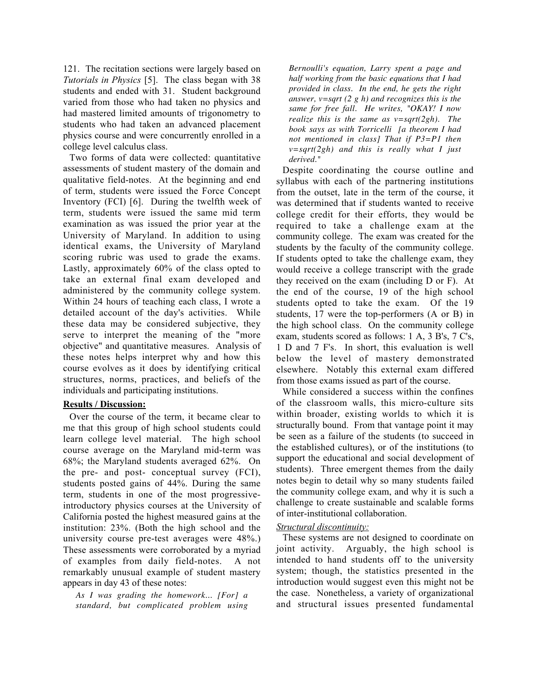121. The recitation sections were largely based on *Tutorials in Physics* [5]. The class began with 38 students and ended with 31. Student background varied from those who had taken no physics and had mastered limited amounts of trigonometry to students who had taken an advanced placement physics course and were concurrently enrolled in a college level calculus class.

Two forms of data were collected: quantitative assessments of student mastery of the domain and qualitative field-notes. At the beginning and end of term, students were issued the Force Concept Inventory (FCI) [6]. During the twelfth week of term, students were issued the same mid term examination as was issued the prior year at the University of Maryland. In addition to using identical exams, the University of Maryland scoring rubric was used to grade the exams. Lastly, approximately 60% of the class opted to take an external final exam developed and administered by the community college system. Within 24 hours of teaching each class, I wrote a detailed account of the day's activities. While these data may be considered subjective, they serve to interpret the meaning of the "more objective" and quantitative measures. Analysis of these notes helps interpret why and how this course evolves as it does by identifying critical structures, norms, practices, and beliefs of the individuals and participating institutions.

## **Results / Discussion:**

Over the course of the term, it became clear to me that this group of high school students could learn college level material. The high school course average on the Maryland mid-term was 68%; the Maryland students averaged 62%. On the pre- and post- conceptual survey (FCI), students posted gains of 44%. During the same term, students in one of the most progressiveintroductory physics courses at the University of California posted the highest measured gains at the institution: 23%. (Both the high school and the university course pre-test averages were 48%.) These assessments were corroborated by a myriad of examples from daily field-notes. A not remarkably unusual example of student mastery appears in day 43 of these notes:

*As I was grading the homework... [For] a standard, but complicated problem using* *Bernoulli's equation, Larry spent a page and half working from the basic equations that I had provided in class. In the end, he gets the right answer, v=sqrt (2 g h) and recognizes this is the same for free fall. He writes, "OKAY! I now realize this is the same as v=sqrt(2gh). The book says as with Torricelli [a theorem I had not mentioned in class] That if P3=P1 then v=sqrt(2gh) and this is really what I just derived."*

Despite coordinating the course outline and syllabus with each of the partnering institutions from the outset, late in the term of the course, it was determined that if students wanted to receive college credit for their efforts, they would be required to take a challenge exam at the community college. The exam was created for the students by the faculty of the community college. If students opted to take the challenge exam, they would receive a college transcript with the grade they received on the exam (including D or F). At the end of the course, 19 of the high school students opted to take the exam. Of the 19 students, 17 were the top-performers (A or B) in the high school class. On the community college exam, students scored as follows: 1 A, 3 B's, 7 C's, 1 D and 7 F's. In short, this evaluation is well below the level of mastery demonstrated elsewhere. Notably this external exam differed from those exams issued as part of the course.

While considered a success within the confines of the classroom walls, this micro-culture sits within broader, existing worlds to which it is structurally bound. From that vantage point it may be seen as a failure of the students (to succeed in the established cultures), or of the institutions (to support the educational and social development of students). Three emergent themes from the daily notes begin to detail why so many students failed the community college exam, and why it is such a challenge to create sustainable and scalable forms of inter-institutional collaboration.

## *Structural discontinuity:*

These systems are not designed to coordinate on joint activity. Arguably, the high school is intended to hand students off to the university system; though, the statistics presented in the introduction would suggest even this might not be the case. Nonetheless, a variety of organizational and structural issues presented fundamental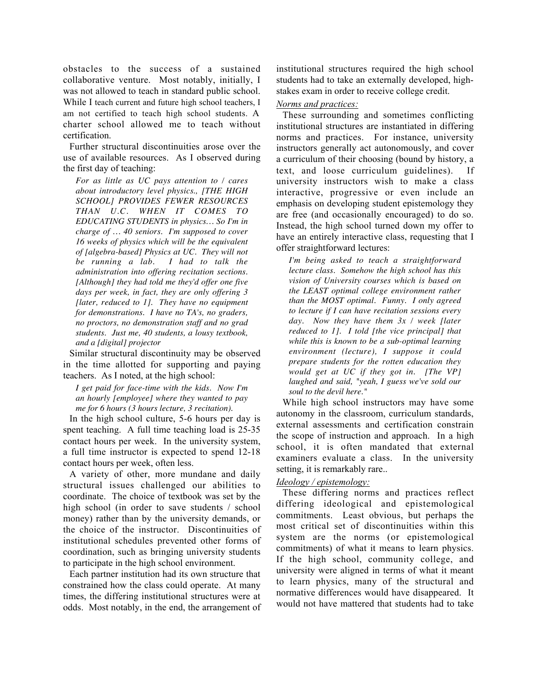obstacles to the success of a sustained collaborative venture. Most notably, initially, I was not allowed to teach in standard public school. While I teach current and future high school teachers, I am not certified to teach high school students. A charter school allowed me to teach without certification.

Further structural discontinuities arose over the use of available resources. As I observed during the first day of teaching:

*For as little as UC pays attention to / cares about introductory level physics., [THE HIGH SCHOOL] PROVIDES FEWER RESOURCES THAN U.C. WHEN IT COMES TO EDUCATING STUDENTS in physics… So I'm in charge of … 40 seniors. I'm supposed to cover 16 weeks of physics which will be the equivalent of [algebra-based] Physics at UC. They will not be running a lab. I had to talk the administration into offering recitation sections. [Although] they had told me they'd offer one five days per week, in fact, they are only offering 3 [later, reduced to 1]. They have no equipment for demonstrations. I have no TA's, no graders, no proctors, no demonstration staff and no grad students. Just me, 40 students, a lousy textbook, and a [digital] projector*

Similar structural discontinuity may be observed in the time allotted for supporting and paying teachers. As I noted, at the high school:

*I get paid for face-time with the kids. Now I'm an hourly [employee] where they wanted to pay me for 6 hours (3 hours lecture, 3 recitation).*

In the high school culture, 5-6 hours per day is spent teaching. A full time teaching load is 25-35 contact hours per week. In the university system, a full time instructor is expected to spend 12-18 contact hours per week, often less.

A variety of other, more mundane and daily structural issues challenged our abilities to coordinate. The choice of textbook was set by the high school (in order to save students / school money) rather than by the university demands, or the choice of the instructor. Discontinuities of institutional schedules prevented other forms of coordination, such as bringing university students to participate in the high school environment.

Each partner institution had its own structure that constrained how the class could operate. At many times, the differing institutional structures were at odds. Most notably, in the end, the arrangement of institutional structures required the high school students had to take an externally developed, highstakes exam in order to receive college credit.

#### *Norms and practices:*

These surrounding and sometimes conflicting institutional structures are instantiated in differing norms and practices. For instance, university instructors generally act autonomously, and cover a curriculum of their choosing (bound by history, a text, and loose curriculum guidelines). If university instructors wish to make a class interactive, progressive or even include an emphasis on developing student epistemology they are free (and occasionally encouraged) to do so. Instead, the high school turned down my offer to have an entirely interactive class, requesting that I offer straightforward lectures:

*I'm being asked to teach a straightforward lecture class. Somehow the high school has this vision of University courses which is based on the LEAST optimal college environment rather than the MOST optimal. Funny. I only agreed to lecture if I can have recitation sessions every day. Now they have them 3x / week [later reduced to 1]. I told [the vice principal] that while this is known to be a sub-optimal learning environment (lecture), I suppose it could prepare students for the rotten education they would get at UC if they got in. [The VP] laughed and said, "yeah, I guess we've sold our soul to the devil here."*

While high school instructors may have some autonomy in the classroom, curriculum standards, external assessments and certification constrain the scope of instruction and approach. In a high school, it is often mandated that external examiners evaluate a class. In the university setting, it is remarkably rare..

## *Ideology / epistemology:*

These differing norms and practices reflect differing ideological and epistemological commitments. Least obvious, but perhaps the most critical set of discontinuities within this system are the norms (or epistemological commitments) of what it means to learn physics. If the high school, community college, and university were aligned in terms of what it meant to learn physics, many of the structural and normative differences would have disappeared. It would not have mattered that students had to take